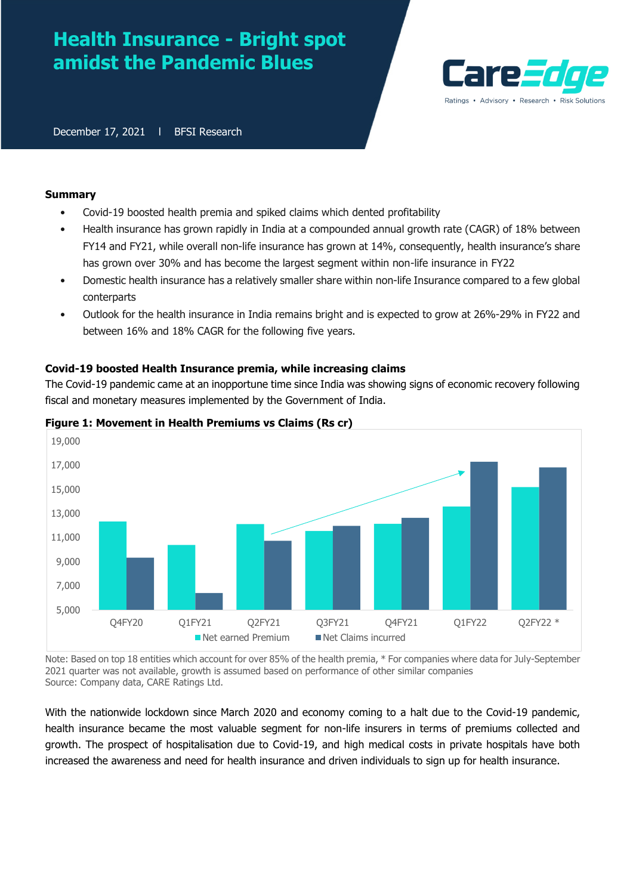# **Health Insurance - Bright spot amidst the Pandemic Blues**



December 17, 2021 | BFSI Research

## **Summary**

- Covid-19 boosted health premia and spiked claims which dented profitability
- Health insurance has grown rapidly in India at a compounded annual growth rate (CAGR) of 18% between FY14 and FY21, while overall non-life insurance has grown at 14%, consequently, health insurance's share has grown over 30% and has become the largest segment within non-life insurance in FY22
- Domestic health insurance has a relatively smaller share within non-life Insurance compared to a few global conterparts
- Outlook for the health insurance in India remains bright and is expected to grow at 26%-29% in FY22 and between 16% and 18% CAGR for the following five years.

# **Covid-19 boosted Health Insurance premia, while increasing claims**

The Covid-19 pandemic came at an inopportune time since India was showing signs of economic recovery following fiscal and monetary measures implemented by the Government of India.



# **Figure 1: Movement in Health Premiums vs Claims (Rs cr)**

Note: Based on top 18 entities which account for over 85% of the health premia, \* For companies where data for July-September 2021 quarter was not available, growth is assumed based on performance of other similar companies Source: Company data, CARE Ratings Ltd.

With the nationwide lockdown since March 2020 and economy coming to a halt due to the Covid-19 pandemic, health insurance became the most valuable segment for non-life insurers in terms of premiums collected and growth. The prospect of hospitalisation due to Covid-19, and high medical costs in private hospitals have both increased the awareness and need for health insurance and driven individuals to sign up for health insurance.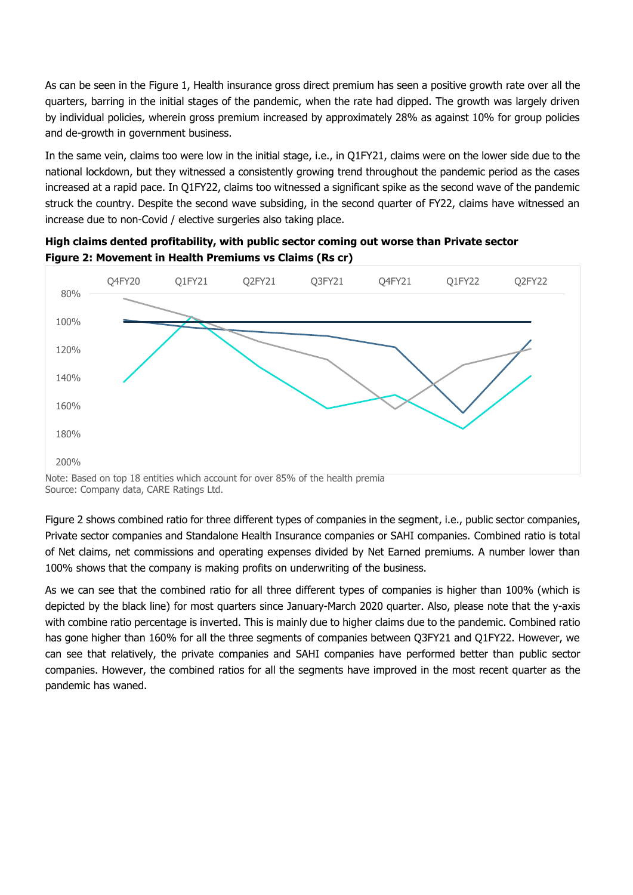As can be seen in the Figure 1, Health insurance gross direct premium has seen a positive growth rate over all the quarters, barring in the initial stages of the pandemic, when the rate had dipped. The growth was largely driven by individual policies, wherein gross premium increased by approximately 28% as against 10% for group policies and de-growth in government business.

In the same vein, claims too were low in the initial stage, i.e., in Q1FY21, claims were on the lower side due to the national lockdown, but they witnessed a consistently growing trend throughout the pandemic period as the cases increased at a rapid pace. In Q1FY22, claims too witnessed a significant spike as the second wave of the pandemic struck the country. Despite the second wave subsiding, in the second quarter of FY22, claims have witnessed an increase due to non-Covid / elective surgeries also taking place.



**High claims dented profitability, with public sector coming out worse than Private sector Figure 2: Movement in Health Premiums vs Claims (Rs cr)**

Note: Based on top 18 entities which account for over 85% of the health premia Source: Company data, CARE Ratings Ltd.

Figure 2 shows combined ratio for three different types of companies in the segment, i.e., public sector companies, Private sector companies and Standalone Health Insurance companies or SAHI companies. Combined ratio is total of Net claims, net commissions and operating expenses divided by Net Earned premiums. A number lower than 100% shows that the company is making profits on underwriting of the business.

As we can see that the combined ratio for all three different types of companies is higher than 100% (which is depicted by the black line) for most quarters since January-March 2020 quarter. Also, please note that the y-axis with combine ratio percentage is inverted. This is mainly due to higher claims due to the pandemic. Combined ratio has gone higher than 160% for all the three segments of companies between Q3FY21 and Q1FY22. However, we can see that relatively, the private companies and SAHI companies have performed better than public sector companies. However, the combined ratios for all the segments have improved in the most recent quarter as the pandemic has waned.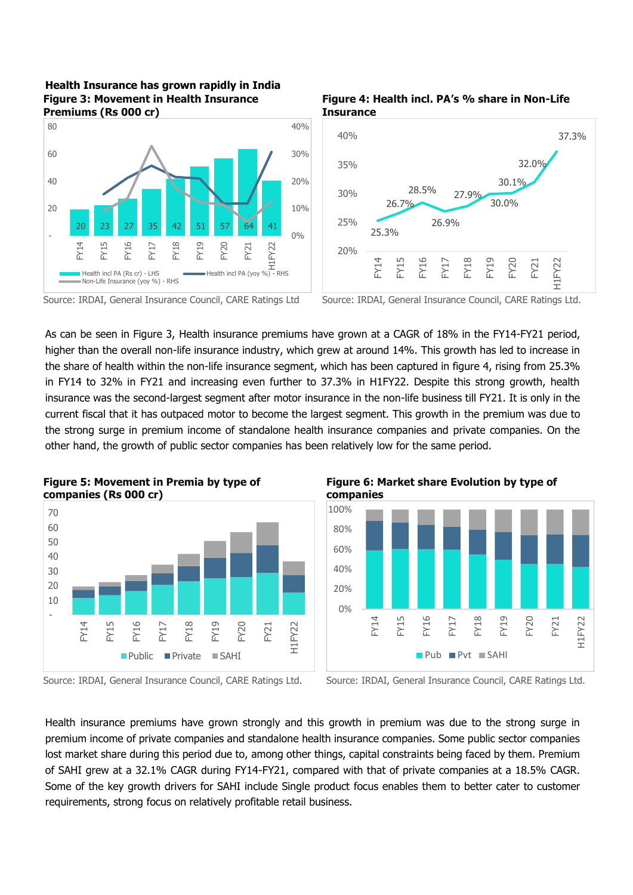# **Health Insurance has grown rapidly in India Figure 3: Movement in Health Insurance Premiums (Rs 000 cr)**







Source: IRDAI, General Insurance Council, CARE Ratings Ltd Source: IRDAI, General Insurance Council, CARE Ratings Ltd.

As can be seen in Figure 3, Health insurance premiums have grown at a CAGR of 18% in the FY14-FY21 period, higher than the overall non-life insurance industry, which grew at around 14%. This growth has led to increase in the share of health within the non-life insurance segment, which has been captured in figure 4, rising from 25.3% in FY14 to 32% in FY21 and increasing even further to 37.3% in H1FY22. Despite this strong growth, health insurance was the second-largest segment after motor insurance in the non-life business till FY21. It is only in the current fiscal that it has outpaced motor to become the largest segment. This growth in the premium was due to the strong surge in premium income of standalone health insurance companies and private companies. On the other hand, the growth of public sector companies has been relatively low for the same period.



**Figure 5: Movement in Premia by type of companies (Rs 000 cr)**







Health insurance premiums have grown strongly and this growth in premium was due to the strong surge in premium income of private companies and standalone health insurance companies. Some public sector companies lost market share during this period due to, among other things, capital constraints being faced by them. Premium of SAHI grew at a 32.1% CAGR during FY14-FY21, compared with that of private companies at a 18.5% CAGR. Some of the key growth drivers for SAHI include Single product focus enables them to better cater to customer requirements, strong focus on relatively profitable retail business.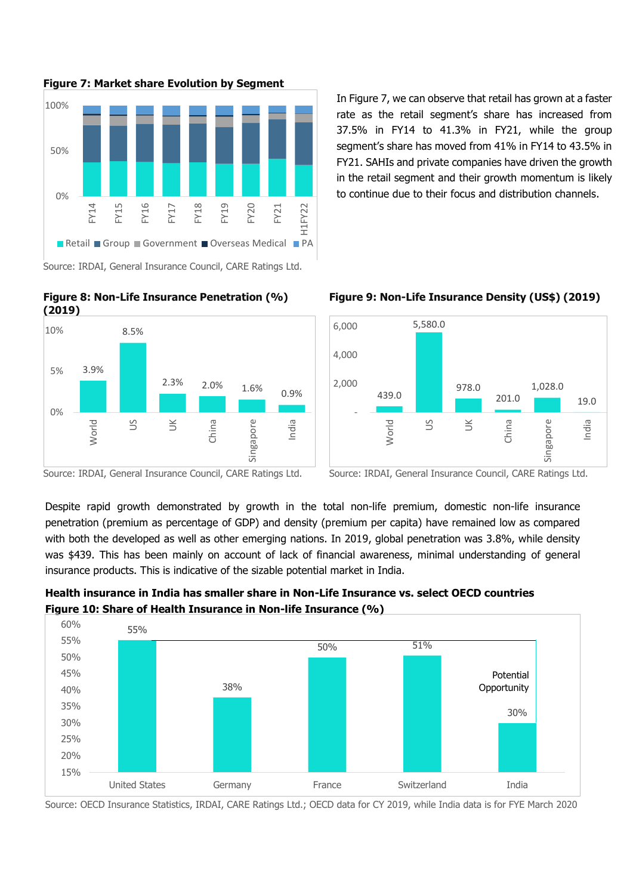

In Figure 7, we can observe that retail has grown at a faster rate as the retail segment's share has increased from 37.5% in FY14 to 41.3% in FY21, while the group segment's share has moved from 41% in FY14 to 43.5% in FY21. SAHIs and private companies have driven the growth in the retail segment and their growth momentum is likely to continue due to their focus and distribution channels.



**Figure 8: Non-Life Insurance Penetration (%) (2019)**







Source: IRDAI, General Insurance Council, CARE Ratings Ltd. Source: IRDAI, General Insurance Council, CARE Ratings Ltd.

Despite rapid growth demonstrated by growth in the total non-life premium, domestic non-life insurance penetration (premium as percentage of GDP) and density (premium per capita) have remained low as compared with both the developed as well as other emerging nations. In 2019, global penetration was 3.8%, while density was \$439. This has been mainly on account of lack of financial awareness, minimal understanding of general insurance products. This is indicative of the sizable potential market in India.

**Health insurance in India has smaller share in Non-Life Insurance vs. select OECD countries Figure 10: Share of Health Insurance in Non-life Insurance (%)**



Source: OECD Insurance Statistics, IRDAI, CARE Ratings Ltd.; OECD data for CY 2019, while India data is for FYE March 2020

**Figure 7: Market share Evolution by Segment**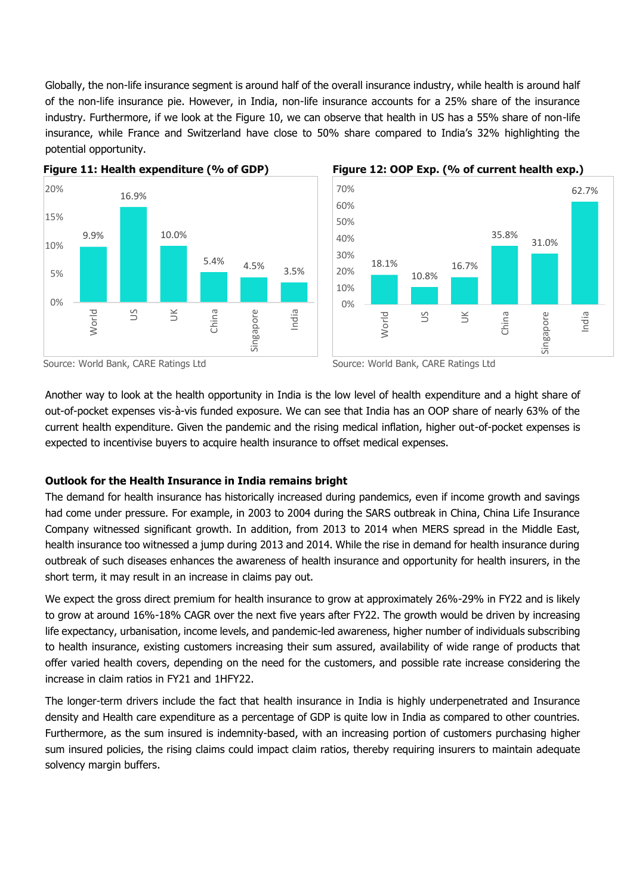Globally, the non-life insurance segment is around half of the overall insurance industry, while health is around half of the non-life insurance pie. However, in India, non-life insurance accounts for a 25% share of the insurance industry. Furthermore, if we look at the Figure 10, we can observe that health in US has a 55% share of non-life insurance, while France and Switzerland have close to 50% share compared to India's 32% highlighting the potential opportunity.







Source: World Bank, CARE Ratings Ltd Source: World Bank, CARE Ratings Ltd Source: World Bank, CARE Ratings Ltd



Another way to look at the health opportunity in India is the low level of health expenditure and a hight share of out-of-pocket expenses vis-à-vis funded exposure. We can see that India has an OOP share of nearly 63% of the current health expenditure. Given the pandemic and the rising medical inflation, higher out-of-pocket expenses is expected to incentivise buyers to acquire health insurance to offset medical expenses.

# **Outlook for the Health Insurance in India remains bright**

The demand for health insurance has historically increased during pandemics, even if income growth and savings had come under pressure. For example, in 2003 to 2004 during the SARS outbreak in China, China Life Insurance Company witnessed significant growth. In addition, from 2013 to 2014 when MERS spread in the Middle East, health insurance too witnessed a jump during 2013 and 2014. While the rise in demand for health insurance during outbreak of such diseases enhances the awareness of health insurance and opportunity for health insurers, in the short term, it may result in an increase in claims pay out.

We expect the gross direct premium for health insurance to grow at approximately 26%-29% in FY22 and is likely to grow at around 16%-18% CAGR over the next five years after FY22. The growth would be driven by increasing life expectancy, urbanisation, income levels, and pandemic-led awareness, higher number of individuals subscribing to health insurance, existing customers increasing their sum assured, availability of wide range of products that offer varied health covers, depending on the need for the customers, and possible rate increase considering the increase in claim ratios in FY21 and 1HFY22.

The longer-term drivers include the fact that health insurance in India is highly underpenetrated and Insurance density and Health care expenditure as a percentage of GDP is quite low in India as compared to other countries. Furthermore, as the sum insured is indemnity-based, with an increasing portion of customers purchasing higher sum insured policies, the rising claims could impact claim ratios, thereby requiring insurers to maintain adequate solvency margin buffers.